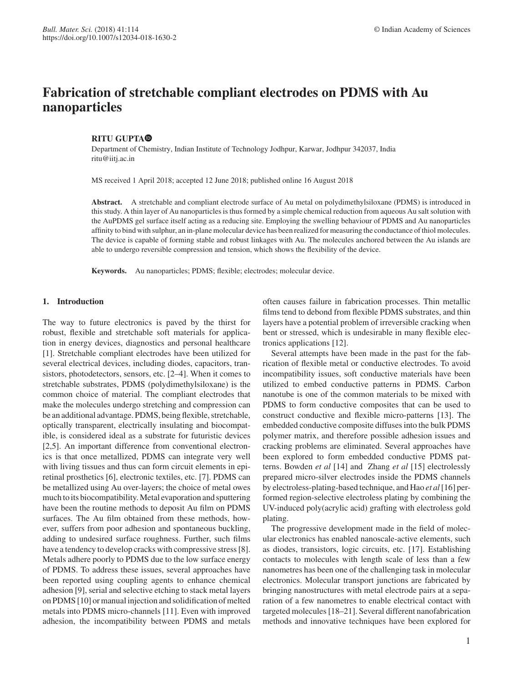# **Fabrication of stretchable compliant electrodes on PDMS with Au nanoparticles**

# **RITU GUPTA**

Department of Chemistry, Indian Institute of Technology Jodhpur, Karwar, Jodhpur 342037, India ritu@iitj.ac.in

MS received 1 April 2018; accepted 12 June 2018; published online 16 August 2018

**Abstract.** A stretchable and compliant electrode surface of Au metal on polydimethylsiloxane (PDMS) is introduced in this study. A thin layer of Au nanoparticles is thus formed by a simple chemical reduction from aqueous Au salt solution with the AuPDMS gel surface itself acting as a reducing site. Employing the swelling behaviour of PDMS and Au nanoparticles affinity to bind with sulphur, an in-plane molecular device has been realized for measuring the conductance of thiol molecules. The device is capable of forming stable and robust linkages with Au. The molecules anchored between the Au islands are able to undergo reversible compression and tension, which shows the flexibility of the device.

**Keywords.** Au nanoparticles; PDMS; flexible; electrodes; molecular device.

# **1. Introduction**

The way to future electronics is paved by the thirst for robust, flexible and stretchable soft materials for application in energy devices, diagnostics and personal healthcare [1]. Stretchable compliant electrodes have been utilized for several electrical devices, including diodes, capacitors, transistors, photodetectors, sensors, etc. [2–4]. When it comes to stretchable substrates, PDMS (polydimethylsiloxane) is the common choice of material. The compliant electrodes that make the molecules undergo stretching and compression can be an additional advantage. PDMS, being flexible, stretchable, optically transparent, electrically insulating and biocompatible, is considered ideal as a substrate for futuristic devices [2,5]. An important difference from conventional electronics is that once metallized, PDMS can integrate very well with living tissues and thus can form circuit elements in epiretinal prosthetics [6], electronic textiles, etc. [7]. PDMS can be metallized using Au over-layers; the choice of metal owes much to its biocompatibility. Metal evaporation and sputtering have been the routine methods to deposit Au film on PDMS surfaces. The Au film obtained from these methods, however, suffers from poor adhesion and spontaneous buckling, adding to undesired surface roughness. Further, such films have a tendency to develop cracks with compressive stress [8]. Metals adhere poorly to PDMS due to the low surface energy of PDMS. To address these issues, several approaches have been reported using coupling agents to enhance chemical adhesion [9], serial and selective etching to stack metal layers on PDMS [10] or manual injection and solidification of melted metals into PDMS micro-channels [11]. Even with improved adhesion, the incompatibility between PDMS and metals often causes failure in fabrication processes. Thin metallic films tend to debond from flexible PDMS substrates, and thin layers have a potential problem of irreversible cracking when bent or stressed, which is undesirable in many flexible electronics applications [12].

Several attempts have been made in the past for the fabrication of flexible metal or conductive electrodes. To avoid incompatibility issues, soft conductive materials have been utilized to embed conductive patterns in PDMS. Carbon nanotube is one of the common materials to be mixed with PDMS to form conductive composites that can be used to construct conductive and flexible micro-patterns [13]. The embedded conductive composite diffuses into the bulk PDMS polymer matrix, and therefore possible adhesion issues and cracking problems are eliminated. Several approaches have been explored to form embedded conductive PDMS patterns. Bowden *et al* [14] and Zhang *et al* [15] electrolessly prepared micro-silver electrodes inside the PDMS channels by electroless-plating-based technique, and Hao *et al*[16] performed region-selective electroless plating by combining the UV-induced poly(acrylic acid) grafting with electroless gold plating.

The progressive development made in the field of molecular electronics has enabled nanoscale-active elements, such as diodes, transistors, logic circuits, etc. [17]. Establishing contacts to molecules with length scale of less than a few nanometres has been one of the challenging task in molecular electronics. Molecular transport junctions are fabricated by bringing nanostructures with metal electrode pairs at a separation of a few nanometres to enable electrical contact with targeted molecules [18–21]. Several different nanofabrication methods and innovative techniques have been explored for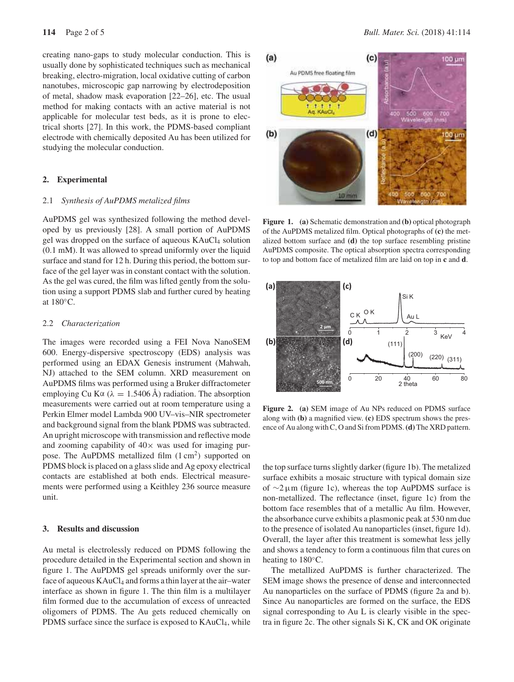creating nano-gaps to study molecular conduction. This is usually done by sophisticated techniques such as mechanical breaking, electro-migration, local oxidative cutting of carbon nanotubes, microscopic gap narrowing by electrodeposition of metal, shadow mask evaporation [22–26], etc. The usual method for making contacts with an active material is not applicable for molecular test beds, as it is prone to electrical shorts [27]. In this work, the PDMS-based compliant electrode with chemically deposited Au has been utilized for studying the molecular conduction.

# **2. Experimental**

# 2.1 *Synthesis of AuPDMS metalized films*

AuPDMS gel was synthesized following the method developed by us previously [28]. A small portion of AuPDMS gel was dropped on the surface of aqueous KAuCl<sub>4</sub> solution (0.1 mM). It was allowed to spread uniformly over the liquid surface and stand for 12 h. During this period, the bottom surface of the gel layer was in constant contact with the solution. As the gel was cured, the film was lifted gently from the solution using a support PDMS slab and further cured by heating at 180◦C.

### 2.2 *Characterization*

The images were recorded using a FEI Nova NanoSEM 600. Energy-dispersive spectroscopy (EDS) analysis was performed using an EDAX Genesis instrument (Mahwah, NJ) attached to the SEM column. XRD measurement on AuPDMS films was performed using a Bruker diffractometer employing Cu K $\alpha$  ( $\lambda = 1.5406$  Å) radiation. The absorption measurements were carried out at room temperature using a Perkin Elmer model Lambda 900 UV–vis–NIR spectrometer and background signal from the blank PDMS was subtracted. An upright microscope with transmission and reflective mode and zooming capability of  $40\times$  was used for imaging purpose. The AuPDMS metallized film  $(1 \text{ cm}^2)$  supported on PDMS block is placed on a glass slide and Ag epoxy electrical contacts are established at both ends. Electrical measurements were performed using a Keithley 236 source measure unit.

#### **3. Results and discussion**

Au metal is electrolessly reduced on PDMS following the procedure detailed in the Experimental section and shown in figure 1. The AuPDMS gel spreads uniformly over the surface of aqueous  $KAuCl<sub>4</sub>$  and forms a thin layer at the air–water interface as shown in figure 1. The thin film is a multilayer film formed due to the accumulation of excess of unreacted oligomers of PDMS. The Au gets reduced chemically on PDMS surface since the surface is exposed to  $KAuCl<sub>4</sub>$ , while



**Figure 1. (a)** Schematic demonstration and **(b)** optical photograph of the AuPDMS metalized film. Optical photographs of **(c)** the metalized bottom surface and **(d)** the top surface resembling pristine AuPDMS composite. The optical absorption spectra corresponding to top and bottom face of metalized film are laid on top in **c** and **d**.



**Figure 2. (a)** SEM image of Au NPs reduced on PDMS surface along with **(b)** a magnified view. **(c)** EDS spectrum shows the presence of Au along with C, O and Si from PDMS.**(d)** The XRD pattern.

the top surface turns slightly darker (figure 1b). The metalized surface exhibits a mosaic structure with typical domain size of ∼2 µm (figure 1c), whereas the top AuPDMS surface is non-metallized. The reflectance (inset, figure 1c) from the bottom face resembles that of a metallic Au film. However, the absorbance curve exhibits a plasmonic peak at 530 nm due to the presence of isolated Au nanoparticles (inset, figure 1d). Overall, the layer after this treatment is somewhat less jelly and shows a tendency to form a continuous film that cures on heating to 180<sup>°</sup>C.

The metallized AuPDMS is further characterized. The SEM image shows the presence of dense and interconnected Au nanoparticles on the surface of PDMS (figure 2a and b). Since Au nanoparticles are formed on the surface, the EDS signal corresponding to Au L is clearly visible in the spectra in figure 2c. The other signals Si K, CK and OK originate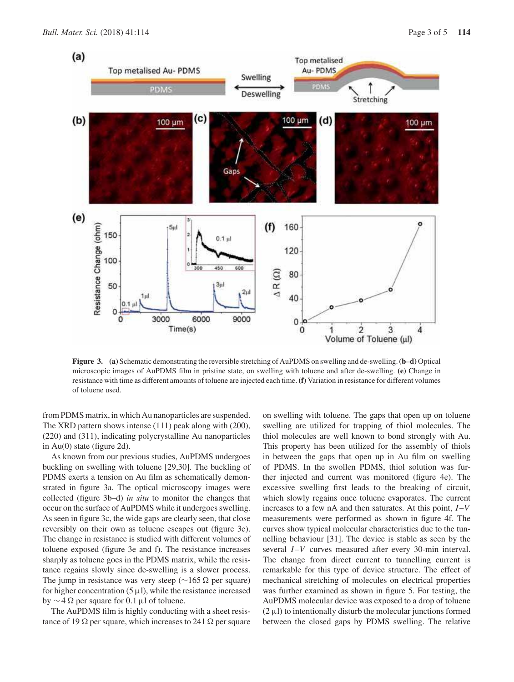

**Figure 3. (a)** Schematic demonstrating the reversible stretching of AuPDMS on swelling and de-swelling.**(b**–**d)** Optical microscopic images of AuPDMS film in pristine state, on swelling with toluene and after de-swelling. **(e)** Change in resistance with time as different amounts of toluene are injected each time. **(f)** Variation in resistance for different volumes of toluene used.

from PDMS matrix, in which Au nanoparticles are suspended. The XRD pattern shows intense (111) peak along with (200), (220) and (311), indicating polycrystalline Au nanoparticles in Au(0) state (figure 2d).

As known from our previous studies, AuPDMS undergoes buckling on swelling with toluene [29,30]. The buckling of PDMS exerts a tension on Au film as schematically demonstrated in figure 3a. The optical microscopy images were collected (figure 3b–d) *in situ* to monitor the changes that occur on the surface of AuPDMS while it undergoes swelling. As seen in figure 3c, the wide gaps are clearly seen, that close reversibly on their own as toluene escapes out (figure 3c). The change in resistance is studied with different volumes of toluene exposed (figure 3e and f). The resistance increases sharply as toluene goes in the PDMS matrix, while the resistance regains slowly since de-swelling is a slower process. The jump in resistance was very steep ( $\sim$ 165 Ω per square) for higher concentration  $(5 \mu l)$ , while the resistance increased by  $\sim$  4  $\Omega$  per square for 0.1 µl of toluene.

The AuPDMS film is highly conducting with a sheet resistance of 19  $\Omega$  per square, which increases to 241  $\Omega$  per square on swelling with toluene. The gaps that open up on toluene swelling are utilized for trapping of thiol molecules. The thiol molecules are well known to bond strongly with Au. This property has been utilized for the assembly of thiols in between the gaps that open up in Au film on swelling of PDMS. In the swollen PDMS, thiol solution was further injected and current was monitored (figure 4e). The excessive swelling first leads to the breaking of circuit, which slowly regains once toluene evaporates. The current increases to a few nA and then saturates. At this point, *I* –*V* measurements were performed as shown in figure 4f. The curves show typical molecular characteristics due to the tunnelling behaviour [31]. The device is stable as seen by the several *I*-*V* curves measured after every 30-min interval. The change from direct current to tunnelling current is remarkable for this type of device structure. The effect of mechanical stretching of molecules on electrical properties was further examined as shown in figure 5. For testing, the AuPDMS molecular device was exposed to a drop of toluene  $(2 \mu l)$  to intentionally disturb the molecular junctions formed between the closed gaps by PDMS swelling. The relative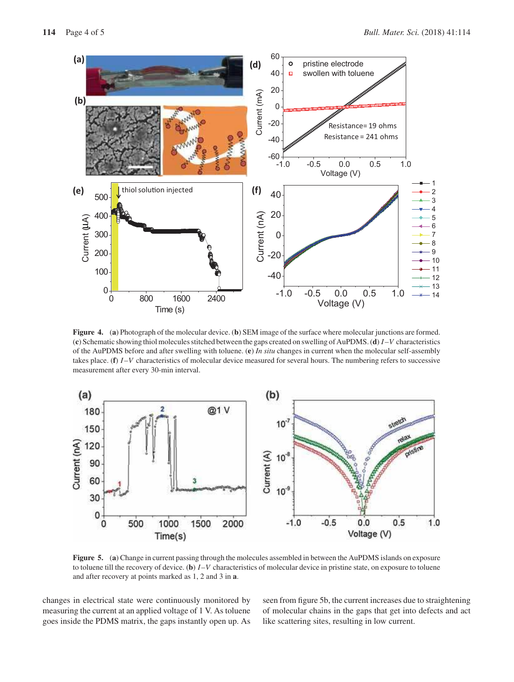

**Figure 4.** (**a**) Photograph of the molecular device. (**b**) SEM image of the surface where molecular junctions are formed. (**c**) Schematic showing thiol molecules stitched between the gaps created on swelling of AuPDMS. (**d**) *I* –*V* characteristics of the AuPDMS before and after swelling with toluene. (**e**) *In situ* changes in current when the molecular self-assembly takes place. (**f**) *I* –*V* characteristics of molecular device measured for several hours. The numbering refers to successive measurement after every 30-min interval.



**Figure 5.** (**a**) Change in current passing through the molecules assembled in between the AuPDMS islands on exposure to toluene till the recovery of device. (**b**) *I* –*V* characteristics of molecular device in pristine state, on exposure to toluene and after recovery at points marked as 1, 2 and 3 in **a**.

changes in electrical state were continuously monitored by measuring the current at an applied voltage of 1 V. As toluene goes inside the PDMS matrix, the gaps instantly open up. As seen from figure 5b, the current increases due to straightening of molecular chains in the gaps that get into defects and act like scattering sites, resulting in low current.